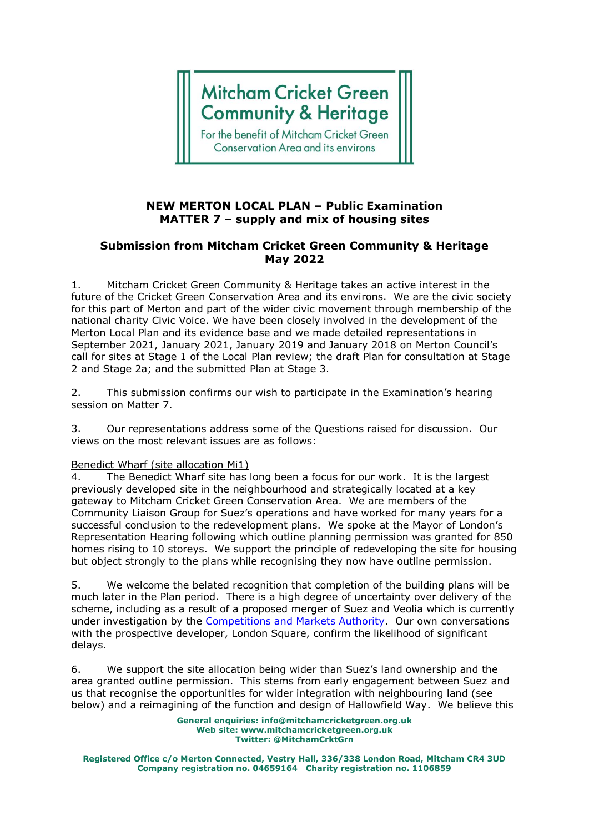# **Mitcham Cricket Green Community & Heritage**

For the benefit of Mitcham Cricket Green **Conservation Area and its environs** 

## **NEW MERTON LOCAL PLAN – Public Examination MATTER 7 – supply and mix of housing sites**

# **Submission from Mitcham Cricket Green Community & Heritage May 2022**

1. Mitcham Cricket Green Community & Heritage takes an active interest in the future of the Cricket Green Conservation Area and its environs. We are the civic society for this part of Merton and part of the wider civic movement through membership of the national charity Civic Voice. We have been closely involved in the development of the Merton Local Plan and its evidence base and we made detailed representations in September 2021, January 2021, January 2019 and January 2018 on Merton Council's call for sites at Stage 1 of the Local Plan review; the draft Plan for consultation at Stage 2 and Stage 2a; and the submitted Plan at Stage 3.

2. This submission confirms our wish to participate in the Examination's hearing session on Matter 7.

3. Our representations address some of the Questions raised for discussion. Our views on the most relevant issues are as follows:

#### Benedict Wharf (site allocation Mi1)

4. The Benedict Wharf site has long been a focus for our work. It is the largest previously developed site in the neighbourhood and strategically located at a key gateway to Mitcham Cricket Green Conservation Area. We are members of the Community Liaison Group for Suez's operations and have worked for many years for a successful conclusion to the redevelopment plans. We spoke at the Mayor of London's Representation Hearing following which outline planning permission was granted for 850 homes rising to 10 storeys. We support the principle of redeveloping the site for housing but object strongly to the plans while recognising they now have outline permission.

5. We welcome the belated recognition that completion of the building plans will be much later in the Plan period. There is a high degree of uncertainty over delivery of the scheme, including as a result of a proposed merger of Suez and Veolia which is currently under investigation by the [Competitions and Markets Authority.](https://www.gov.uk/cma-cases/veolia-slash-suez-merger-inquiry) Our own conversations with the prospective developer, London Square, confirm the likelihood of significant delays.

6. We support the site allocation being wider than Suez's land ownership and the area granted outline permission. This stems from early engagement between Suez and us that recognise the opportunities for wider integration with neighbouring land (see below) and a reimagining of the function and design of Hallowfield Way. We believe this

> **General enquiries: info@mitchamcricketgreen.org.uk Web site: www.mitchamcricketgreen.org.uk Twitter: @MitchamCrktGrn**

**Registered Office c/o Merton Connected, Vestry Hall, 336/338 London Road, Mitcham CR4 3UD Company registration no. 04659164 Charity registration no. 1106859**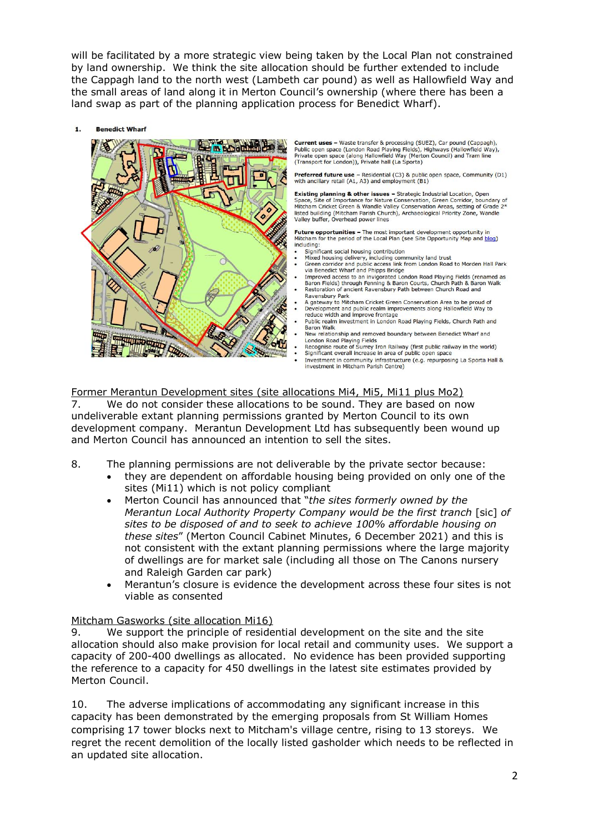will be facilitated by a more strategic view being taken by the Local Plan not constrained by land ownership. We think the site allocation should be further extended to include the Cappagh land to the north west (Lambeth car pound) as well as Hallowfield Way and the small areas of land along it in Merton Council's ownership (where there has been a land swap as part of the planning application process for Benedict Wharf).

 $\ddot{\mathbf{1}}$ **Renedict Wharf** 



Current uses - Waste transfer & processing (SUEZ). Car pound (Cappagh). Conferent uses - was channel at processing (Social Angle) Public open space (London Road Playing Fields), Highways (Hallowfield Way), Private open space (along Hallowfield Way (Merton Council) and Tram line (Transport for

Preferred future use - Residential (C3) & public open space, Community (D1) with ancillary retail (A1, A3) and employment (B1)

Existing planning & other issues - Strategic Industrial Location, Open<br>Space, Site of Importance for Nature Conservation, Green Corridor, boundary of Mitcham Cricket Green & Wandle Valley Conservation Areas, setting of Grade 2 Finden building (Mitcham Parish Church), Archaeological Priority Zone, Wandle<br>Valley buffer, Overhead power lines

Future opportunities - The most important development opportunity in<br>Mitcham for the period of the Local Plan (see Site Opportunity Map and blog) including:

- 
- Significant social housing contribution<br>Mixed housing delivery, including community land trust<br>Green corridor and public access link from London Road to Morden Hall Park via Benedict Wharf and Phipps Bridge
- Via Berieutic windin and Finipps Bington Road Playing Fields (renamed as<br>Baron Fields) through Fenning & Baron Courts, Church Path & Baron Walk<br>Restoration of ancient Ravensbury Path between Church Road and
- Ravensbury Park<br>A gateway to Mitcham Cricket Green Conservation Area to be proud of<br>Development and public realm improvements along Hallowfield Way to
- reduce width and improve frontage reduce width and improve trontage<br>Public realm investment in London Road Playing Fields, Church Path and<br>Baron Walk
- New relationship and removed boundary between Benedict Wharf and London Road Playing Fields<br>Recognise route of Surrey Iron Railway (first public railway in the world)
- Significant overall increase in area of public open space
- Investment in community infrastructure (e.g. repurposing La Sporta Hall & investment in Mitcham Parish Centre)

Former Merantun Development sites (site allocations Mi4, Mi5, Mi11 plus Mo2)

7. We do not consider these allocations to be sound. They are based on now undeliverable extant planning permissions granted by Merton Council to its own development company. Merantun Development Ltd has subsequently been wound up and Merton Council has announced an intention to sell the sites.

- 8. The planning permissions are not deliverable by the private sector because:
	- they are dependent on affordable housing being provided on only one of the sites (Mi11) which is not policy compliant
	- Merton Council has announced that "*the sites formerly owned by the Merantun Local Authority Property Company would be the first tranch* [sic] *of sites to be disposed of and to seek to achieve 100% affordable housing on these sites*" (Merton Council Cabinet Minutes, 6 December 2021) and this is not consistent with the extant planning permissions where the large majority of dwellings are for market sale (including all those on The Canons nursery and Raleigh Garden car park)
	- Merantun's closure is evidence the development across these four sites is not viable as consented

## Mitcham Gasworks (site allocation Mi16)

9. We support the principle of residential development on the site and the site allocation should also make provision for local retail and community uses. We support a capacity of 200-400 dwellings as allocated. No evidence has been provided supporting the reference to a capacity for 450 dwellings in the latest site estimates provided by Merton Council.

10. The adverse implications of accommodating any significant increase in this capacity has been demonstrated by the emerging proposals from St William Homes comprising 17 tower blocks next to Mitcham's village centre, rising to 13 storeys. We regret the recent demolition of the locally listed gasholder which needs to be reflected in an updated site allocation.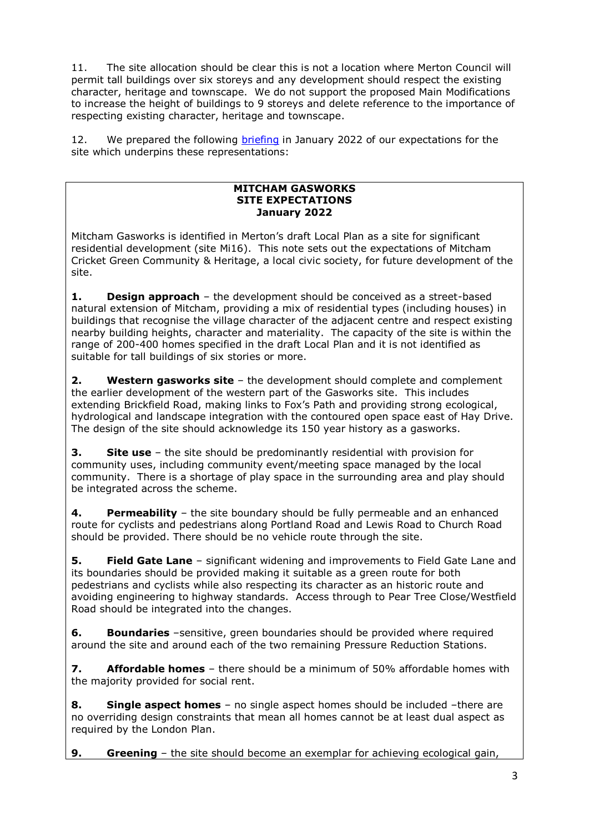11. The site allocation should be clear this is not a location where Merton Council will permit tall buildings over six storeys and any development should respect the existing character, heritage and townscape. We do not support the proposed Main Modifications to increase the height of buildings to 9 storeys and delete reference to the importance of respecting existing character, heritage and townscape.

12. We prepared the following [briefing](https://mitchamcricketgreen.org.uk/2022/01/06/future-of-mitcham-gasworks-could-determine-character-of-mitcham/) in January 2022 of our expectations for the site which underpins these representations:

### **MITCHAM GASWORKS SITE EXPECTATIONS January 2022**

Mitcham Gasworks is identified in Merton's draft Local Plan as a site for significant residential development (site Mi16). This note sets out the expectations of Mitcham Cricket Green Community & Heritage, a local civic society, for future development of the site.

**1. Design approach** – the development should be conceived as a street-based natural extension of Mitcham, providing a mix of residential types (including houses) in buildings that recognise the village character of the adjacent centre and respect existing nearby building heights, character and materiality. The capacity of the site is within the range of 200-400 homes specified in the draft Local Plan and it is not identified as suitable for tall buildings of six stories or more.

**2. Western gasworks site** – the development should complete and complement the earlier development of the western part of the Gasworks site. This includes extending Brickfield Road, making links to Fox's Path and providing strong ecological, hydrological and landscape integration with the contoured open space east of Hay Drive. The design of the site should acknowledge its 150 year history as a gasworks.

**3. Site use** – the site should be predominantly residential with provision for community uses, including community event/meeting space managed by the local community. There is a shortage of play space in the surrounding area and play should be integrated across the scheme.

**4. Permeability** – the site boundary should be fully permeable and an enhanced route for cyclists and pedestrians along Portland Road and Lewis Road to Church Road should be provided. There should be no vehicle route through the site.

**5. Field Gate Lane** – significant widening and improvements to Field Gate Lane and its boundaries should be provided making it suitable as a green route for both pedestrians and cyclists while also respecting its character as an historic route and avoiding engineering to highway standards. Access through to Pear Tree Close/Westfield Road should be integrated into the changes.

**6. Boundaries** –sensitive, green boundaries should be provided where required around the site and around each of the two remaining Pressure Reduction Stations.

**7. Affordable homes** – there should be a minimum of 50% affordable homes with the majority provided for social rent.

**8. Single aspect homes** – no single aspect homes should be included –there are no overriding design constraints that mean all homes cannot be at least dual aspect as required by the London Plan.

**9. Greening** – the site should become an exemplar for achieving ecological gain,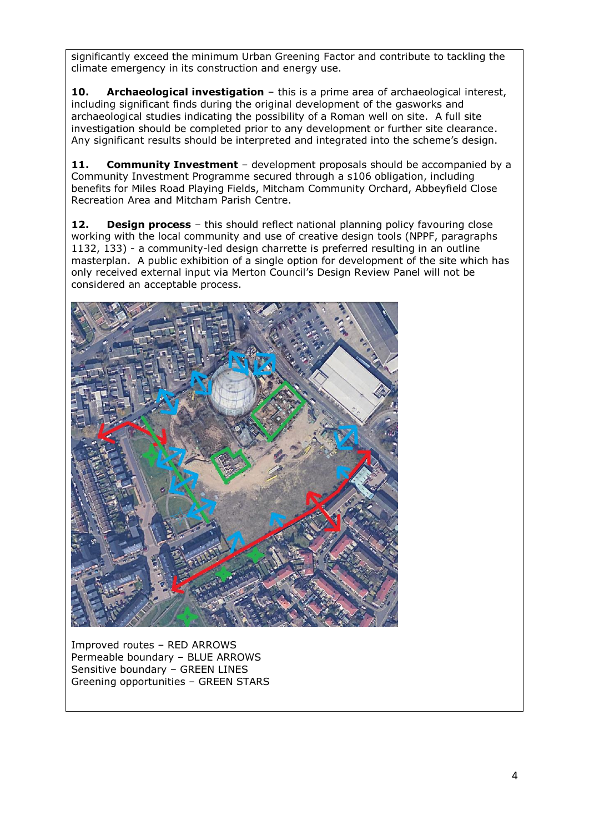significantly exceed the minimum Urban Greening Factor and contribute to tackling the climate emergency in its construction and energy use.

**10. Archaeological investigation** – this is a prime area of archaeological interest, including significant finds during the original development of the gasworks and archaeological studies indicating the possibility of a Roman well on site. A full site investigation should be completed prior to any development or further site clearance. Any significant results should be interpreted and integrated into the scheme's design.

**11. Community Investment** – development proposals should be accompanied by a Community Investment Programme secured through a s106 obligation, including benefits for Miles Road Playing Fields, Mitcham Community Orchard, Abbeyfield Close Recreation Area and Mitcham Parish Centre.

**12. Design process** – this should reflect national planning policy favouring close working with the local community and use of creative design tools (NPPF, paragraphs 1132, 133) - a community-led design charrette is preferred resulting in an outline masterplan. A public exhibition of a single option for development of the site which has only received external input via Merton Council's Design Review Panel will not be considered an acceptable process.



Improved routes – RED ARROWS Permeable boundary – BLUE ARROWS Sensitive boundary – GREEN LINES Greening opportunities – GREEN STARS